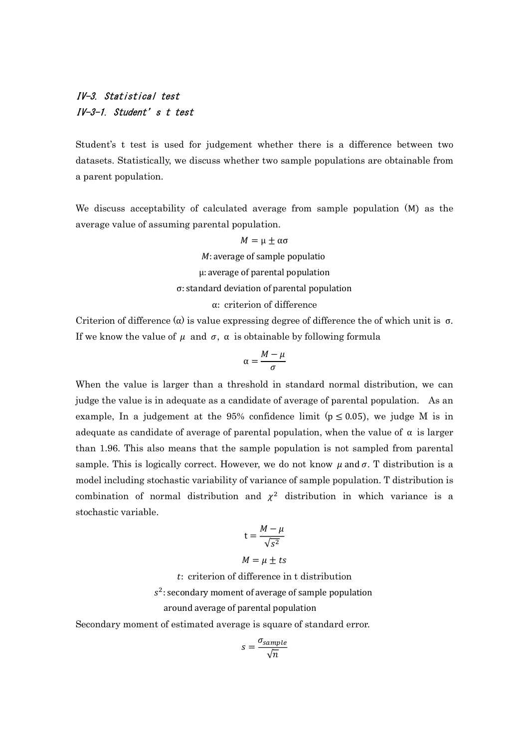# IV-3. Statistical test IV-3-1. Student's t test

Student's t test is used for judgement whether there is a difference between two datasets. Statistically, we discuss whether two sample populations are obtainable from a parent population.

We discuss acceptability of calculated average from sample population (M) as the average value of assuming parental population.

> $M = \mu \pm \alpha \sigma$ M: average of sample populatio μ: average of parental population σ: standard deviation of parental population α: criterion of difference

Criterion of difference  $(\alpha)$  is value expressing degree of difference the of which unit is  $\sigma$ . If we know the value of  $\mu$  and  $\sigma$ ,  $\alpha$  is obtainable by following formula

$$
\alpha = \frac{M - \mu}{\sigma}
$$

When the value is larger than a threshold in standard normal distribution, we can judge the value is in adequate as a candidate of average of parental population. As an example, In a judgement at the 95% confidence limit ( $p \le 0.05$ ), we judge M is in adequate as candidate of average of parental population, when the value of  $\alpha$  is larger than 1.96. This also means that the sample population is not sampled from parental sample. This is logically correct. However, we do not know  $\mu$  and  $\sigma$ . T distribution is a model including stochastic variability of variance of sample population. T distribution is combination of normal distribution and  $\chi^2$  distribution in which variance is a stochastic variable.

$$
t = \frac{M - \mu}{\sqrt{s^2}}
$$

 $M = \mu \pm ts$ 

: criterion of difference in t distribution

 $s^2$ : secondary moment of average of sample population

### around average of parental population

Secondary moment of estimated average is square of standard error.

$$
s = \frac{\sigma_{sample}}{\sqrt{n}}
$$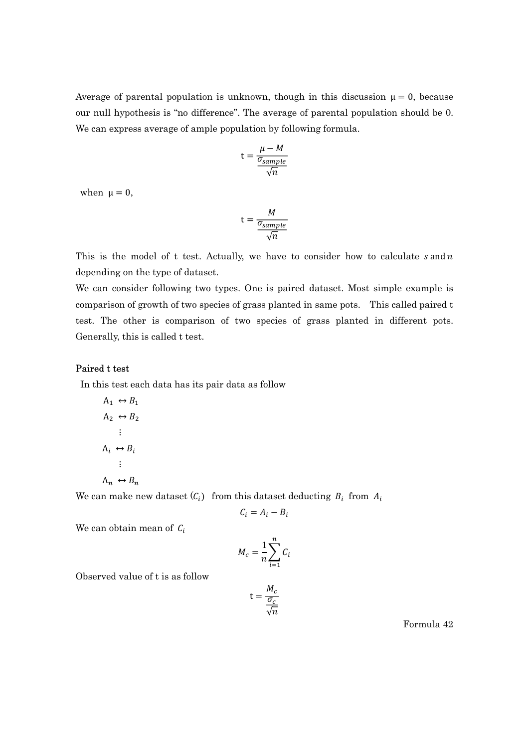Average of parental population is unknown, though in this discussion  $\mu = 0$ , because our null hypothesis is "no difference". The average of parental population should be 0. We can express average of ample population by following formula.

$$
t = \frac{\mu - M}{\frac{\sigma_{sample}}{\sqrt{n}}}
$$

when  $\mu = 0$ ,

$$
t = \frac{M}{\frac{\sigma_{sample}}{\sqrt{n}}}
$$

This is the model of t test. Actually, we have to consider how to calculate  $s$  and  $n$ depending on the type of dataset.

We can consider following two types. One is paired dataset. Most simple example is comparison of growth of two species of grass planted in same pots. This called paired t test. The other is comparison of two species of grass planted in different pots. Generally, this is called t test.

#### Paired t test

In this test each data has its pair data as follow

$$
A_1 \leftrightarrow B_1
$$
  
\n
$$
A_2 \leftrightarrow B_2
$$
  
\n
$$
\vdots
$$
  
\n
$$
A_i \leftrightarrow B_i
$$
  
\n
$$
\vdots
$$
  
\n
$$
A_n \leftrightarrow B_n
$$

We can make new dataset  $(C_i)$  from this dataset deducting  $B_i$  from  $A_i$ 

$$
C_i = A_i - B_i
$$

We can obtain mean of  $C_i$ 

$$
M_c = \frac{1}{n} \sum_{i=1}^{n} C_i
$$

Observed value of t is as follow

$$
t = \frac{M_c}{\frac{\sigma_c}{\sqrt{n}}}
$$

Formula 42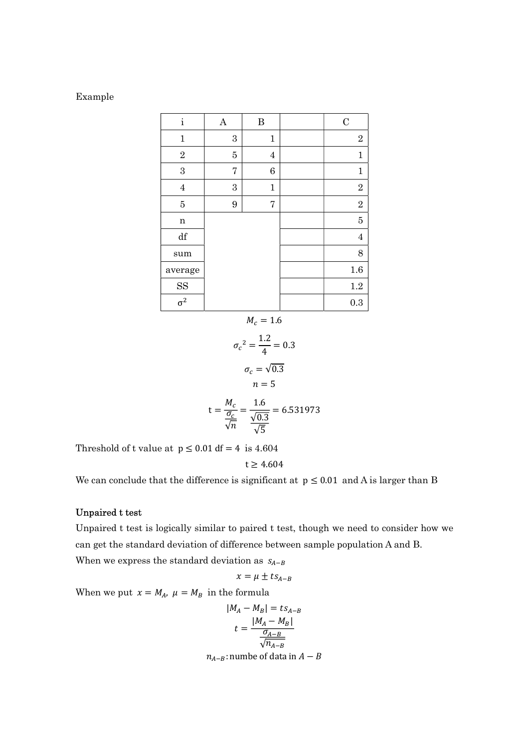#### Example

| $\mathbf{i}$           | $\boldsymbol{\rm{A}}$ | $\, {\bf B}$ | $\mathbf C$    |
|------------------------|-----------------------|--------------|----------------|
| $\mathbf{1}$           | $\boldsymbol{3}$      | $\mathbf 1$  | $\sqrt{2}$     |
| $\sqrt{2}$             | 5                     | $\bf 4$      | $\mathbf{1}$   |
| $\overline{3}$         | 7                     | 6            | $\mathbf 1$    |
| $\overline{4}$         | $\rm 3$               | $\mathbf 1$  | $\sqrt{2}$     |
| $\overline{5}$         | 9                     | 7            | $\sqrt{2}$     |
| n                      |                       |              | $\overline{5}$ |
| $\mathrm{d}\mathbf{f}$ |                       |              | $\overline{4}$ |
| sum                    |                       |              | 8              |
| average                |                       |              | 1.6            |
| <b>SS</b>              |                       |              | $1.2\,$        |
| $\sigma^2$             |                       |              | 0.3            |

$$
M_c=1.6
$$

$$
\sigma_c^2 = \frac{1.2}{4} = 0.3
$$

$$
\sigma_c = \sqrt{0.3}
$$

$$
n = 5
$$

$$
M_c = \frac{1.6}{1.6} = 6.52
$$

$$
t = \frac{M_c}{\frac{\sigma_c}{\sqrt{n}}} = \frac{1.6}{\frac{\sqrt{0.3}}{\sqrt{5}}} = 6.531973
$$

Threshold of t value at  $p \le 0.01$  df = 4 is 4.604

$$
t\geq 4.604
$$

We can conclude that the difference is significant at  $p \le 0.01$  and A is larger than B

## Unpaired t test

Unpaired t test is logically similar to paired t test, though we need to consider how we can get the standard deviation of difference between sample population A and B.

When we express the standard deviation as  $S_{A-B}$ 

$$
x = \mu \pm ts_{A-B}
$$

When we put  $x = M_A$ ,  $\mu = M_B$  in the formula

$$
|M_A - M_B| = ts_{A-B}
$$
  

$$
t = \frac{|M_A - M_B|}{\frac{\sigma_{A-B}}{\sqrt{n_{A-B}}}}
$$
  

$$
n_{A-B}: \text{number of data in } A - B
$$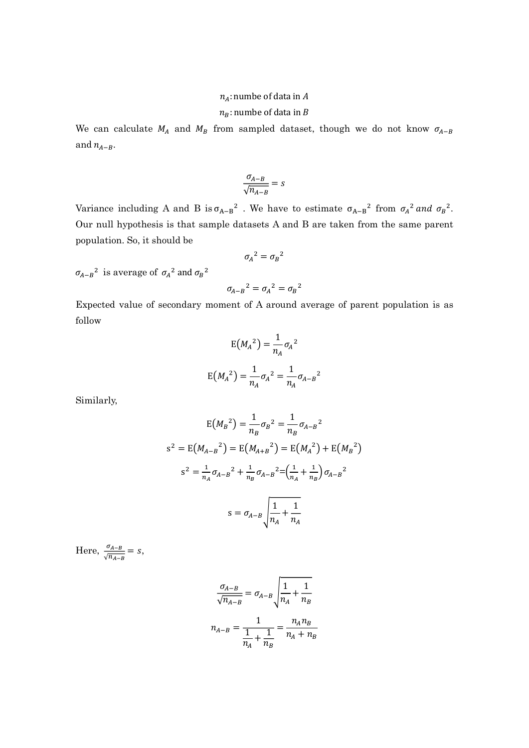#### $n_4$ : numbe of data in A

### $n_B$ : numbe of data in B

We can calculate  $M_A$  and  $M_B$  from sampled dataset, though we do not know  $\sigma_{A-B}$ and  $n_{A-B}$ .

$$
\frac{\sigma_{A-B}}{\sqrt{n_{A-B}}}=s
$$

Variance including A and B is  $\sigma_{A-B}^2$ . We have to estimate  $\sigma_{A-B}^2$  from  $\sigma_A^2$  and  $\sigma_B^2$ . Our null hypothesis is that sample datasets A and B are taken from the same parent population. So, it should be

$$
{\sigma_A}^2={\sigma_B}^2
$$

 $\sigma_{A-B}^2$  is average of  $\sigma_A^2$  and  $\sigma_B^2$ 

$$
\sigma_{A-B}{}^2 = \sigma_A{}^2 = \sigma_B{}^2
$$

Expected value of secondary moment of A around average of parent population is as follow

$$
E(M_A^2) = \frac{1}{n_A} \sigma_A^2
$$

$$
E(M_A^2) = \frac{1}{n_A} \sigma_A^2 = \frac{1}{n_A} \sigma_{A-B}^2
$$

Similarly,

$$
E(M_B^2) = \frac{1}{n_B} \sigma_B^2 = \frac{1}{n_B} \sigma_{A-B}^2
$$
  
\n
$$
s^2 = E(M_{A-B}^2) = E(M_{A+B}^2) = E(M_A^2) + E(M_B^2)
$$
  
\n
$$
s^2 = \frac{1}{n_A} \sigma_{A-B}^2 + \frac{1}{n_B} \sigma_{A-B}^2 = (\frac{1}{n_A} + \frac{1}{n_B}) \sigma_{A-B}^2
$$
  
\n
$$
s = \sigma_{A-B} \sqrt{\frac{1}{n_A} + \frac{1}{n_A}}
$$

Here,  $\frac{\sigma_{A-B}}{\sqrt{n_{A-B}}} = s$ ,

$$
\frac{\sigma_{A-B}}{\sqrt{n_{A-B}}} = \sigma_{A-B} \sqrt{\frac{1}{n_A} + \frac{1}{n_B}}
$$

$$
n_{A-B} = \frac{1}{\frac{1}{n_A} + \frac{1}{n_B}} = \frac{n_A n_B}{n_A + n_B}
$$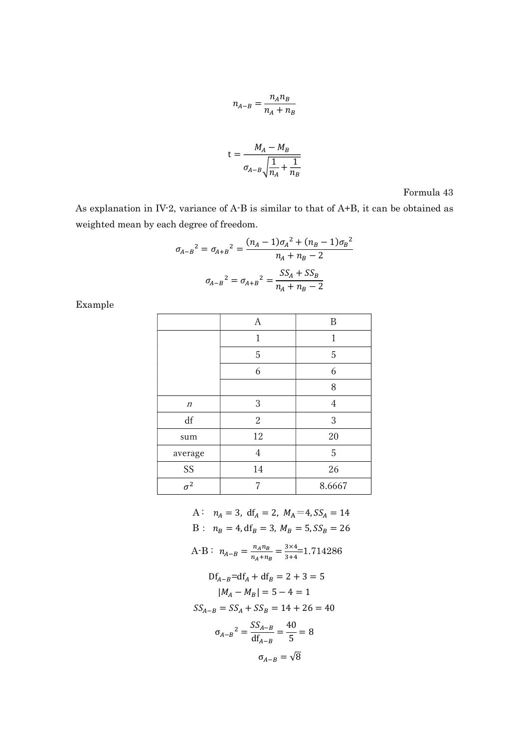$$
n_{A-B} = \frac{n_A n_B}{n_A + n_B}
$$

$$
t = \frac{M_A - M_B}{\sigma_{A-B} \sqrt{\frac{1}{n_A} + \frac{1}{n_B}}}
$$

Formula 43

As explanation in IV-2, variance of A-B is similar to that of A+B, it can be obtained as weighted mean by each degree of freedom.

$$
\sigma_{A-B}^2 = \sigma_{A+B}^2 = \frac{(n_A - 1)\sigma_A^2 + (n_B - 1)\sigma_B^2}{n_A + n_B - 2}
$$

$$
\sigma_{A-B}^2 = \sigma_{A+B}^2 = \frac{SS_A + SS_B}{n_A + n_B - 2}
$$

Example

|                       | $\boldsymbol{A}$ | B      |
|-----------------------|------------------|--------|
|                       | 1                | 1      |
|                       | 5                | 5      |
|                       | 6                | 6      |
|                       |                  | 8      |
| $\boldsymbol{n}$      | 3                | 4      |
| df                    | $\boldsymbol{2}$ | 3      |
| sum                   | 12               | 20     |
| average               | $\overline{4}$   | 5      |
| SS                    | 14               | $26\,$ |
| $\overline{\sigma^2}$ |                  | 8.6667 |

A:  $n_A = 3$ , df<sub>A</sub> = 2,  $M_A = 4$ ,  $SS_A = 14$ B :  $n_B = 4$ , df<sub>B</sub> = 3,  $M_B = 5$ ,  $SS_B = 26$ A-B:  $n_{A-B} = \frac{n_A n_B}{n_A + n_B} = \frac{3 \times 4}{3 + 4} = 1.714286$  $Df_{A-B} = df_A + df_B = 2 + 3 = 5$  $|M_A - M_B| = 5 - 4 = 1$  $SS_{A-B} = SS_A + SS_B = 14 + 26 = 40$  $\sigma_{A-B}^2 = \frac{SS_{A-B}}{df_{A-B}} = \frac{40}{5} = 8$  $\sigma_{A-R} = \sqrt{8}$